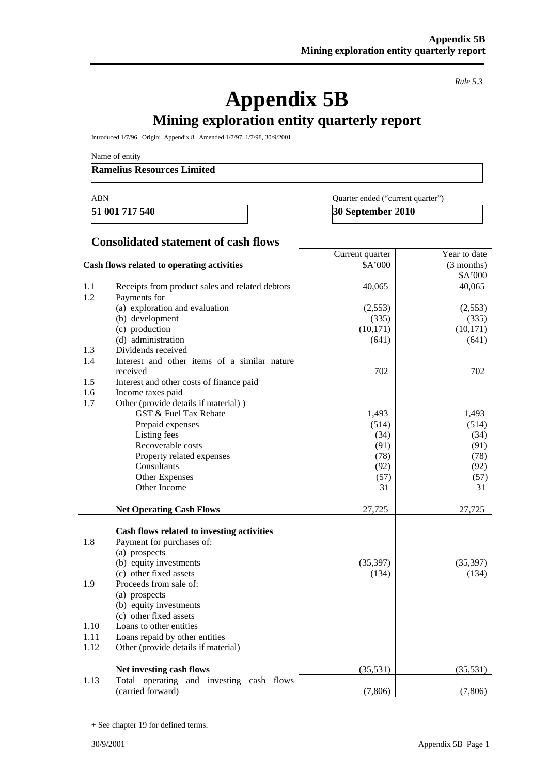*Rule 5.3* 

# **Appendix 5B**

# **Mining exploration entity quarterly report**

Introduced 1/7/96. Origin: Appendix 8. Amended 1/7/97, 1/7/98, 30/9/2001.

Name of entity

#### **Ramelius Resources Limited**

ABN Quarter ended ("current quarter") **51 001 717 540** 30 September 2010

#### **Consolidated statement of cash flows**

|                                            |                                                 | Current quarter | Year to date |
|--------------------------------------------|-------------------------------------------------|-----------------|--------------|
| Cash flows related to operating activities |                                                 | \$A'000         | (3 months)   |
|                                            |                                                 |                 | \$A'000      |
| $1.1\,$                                    | Receipts from product sales and related debtors | 40,065          | 40,065       |
| 1.2                                        | Payments for                                    |                 |              |
|                                            | (a) exploration and evaluation                  | (2,553)         | (2,553)      |
|                                            | (b) development                                 | (335)           | (335)        |
|                                            | (c) production                                  | (10, 171)       | (10, 171)    |
|                                            | (d) administration                              | (641)           | (641)        |
| 1.3                                        | Dividends received                              |                 |              |
| 1.4                                        | Interest and other items of a similar nature    |                 |              |
|                                            | received                                        | 702             | 702          |
| 1.5                                        | Interest and other costs of finance paid        |                 |              |
| 1.6                                        | Income taxes paid                               |                 |              |
| 1.7                                        | Other (provide details if material))            |                 |              |
|                                            | <b>GST &amp; Fuel Tax Rebate</b>                | 1,493           | 1,493        |
|                                            | Prepaid expenses                                | (514)           | (514)        |
|                                            | Listing fees                                    | (34)            | (34)         |
|                                            | Recoverable costs                               | (91)            | (91)         |
|                                            | Property related expenses                       | (78)            | (78)         |
|                                            | Consultants                                     | (92)            | (92)         |
|                                            | Other Expenses                                  | (57)            | (57)         |
|                                            | Other Income                                    | 31              | 31           |
|                                            |                                                 |                 |              |
|                                            | <b>Net Operating Cash Flows</b>                 | 27,725          | 27,725       |
|                                            |                                                 |                 |              |
|                                            | Cash flows related to investing activities      |                 |              |
| 1.8                                        | Payment for purchases of:                       |                 |              |
|                                            | (a) prospects                                   |                 |              |
|                                            | (b) equity investments                          | (35, 397)       | (35, 397)    |
|                                            | (c) other fixed assets                          | (134)           | (134)        |
| 1.9                                        | Proceeds from sale of:                          |                 |              |
|                                            | (a) prospects                                   |                 |              |
|                                            | (b) equity investments                          |                 |              |
|                                            | (c) other fixed assets                          |                 |              |
| 1.10                                       | Loans to other entities                         |                 |              |
| 1.11                                       | Loans repaid by other entities                  |                 |              |
| 1.12                                       | Other (provide details if material)             |                 |              |
|                                            |                                                 |                 |              |
|                                            | Net investing cash flows                        | (35,531)        | (35,531)     |
| 1.13                                       | Total operating and investing cash flows        |                 |              |
|                                            | (carried forward)                               | (7,806)         | (7,806)      |

<sup>+</sup> See chapter 19 for defined terms.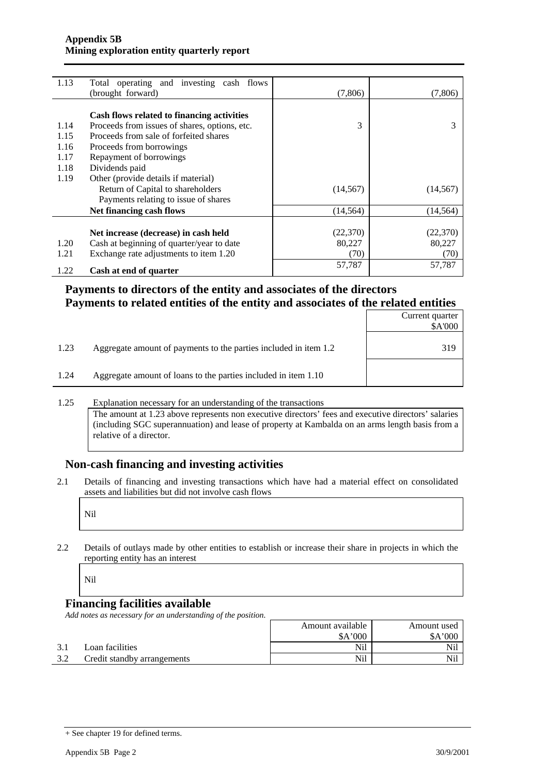| 1.13 | Total operating and investing cash flows<br>(brought forward) | (7,806)   | (7,806)   |
|------|---------------------------------------------------------------|-----------|-----------|
|      |                                                               |           |           |
|      | Cash flows related to financing activities                    |           |           |
| 1.14 | Proceeds from issues of shares, options, etc.                 | 3         |           |
| 1.15 | Proceeds from sale of forfeited shares                        |           |           |
| 1.16 | Proceeds from borrowings                                      |           |           |
| 1.17 | Repayment of borrowings                                       |           |           |
| 1.18 | Dividends paid                                                |           |           |
| 1.19 | Other (provide details if material)                           |           |           |
|      | Return of Capital to shareholders                             | (14, 567) | (14, 567) |
|      | Payments relating to issue of shares                          |           |           |
|      | Net financing cash flows                                      | (14, 564) | (14, 564) |
|      |                                                               |           |           |
|      | Net increase (decrease) in cash held                          | (22, 370) | (22,370)  |
| 1.20 | Cash at beginning of quarter/year to date                     | 80,227    | 80,227    |
| 1.21 | Exchange rate adjustments to item 1.20                        | (70)      | (70)      |
| 1.22 | Cash at end of quarter                                        | 57,787    | 57,787    |

### **Payments to directors of the entity and associates of the directors Payments to related entities of the entity and associates of the related entities**

|      |                                                                  | Current quarter<br>\$A'000 |
|------|------------------------------------------------------------------|----------------------------|
| 1.23 | Aggregate amount of payments to the parties included in item 1.2 | 319                        |
| 1.24 | Aggregate amount of loans to the parties included in item 1.10   |                            |

#### 1.25 Explanation necessary for an understanding of the transactions

The amount at 1.23 above represents non executive directors' fees and executive directors' salaries (including SGC superannuation) and lease of property at Kambalda on an arms length basis from a relative of a director.

#### **Non-cash financing and investing activities**

2.1 Details of financing and investing transactions which have had a material effect on consolidated assets and liabilities but did not involve cash flows

2.2 Details of outlays made by other entities to establish or increase their share in projects in which the reporting entity has an interest

Nil

## **Financing facilities available**

*Add notes as necessary for an understanding of the position.* 

|     |                             | Amount available | Amount used |
|-----|-----------------------------|------------------|-------------|
|     |                             | \$A'000          | \$A'000     |
| 3.1 | Loan facilities             | Nil              | Nil         |
| 3.2 | Credit standby arrangements | Nil              | Nil         |

<sup>+</sup> See chapter 19 for defined terms.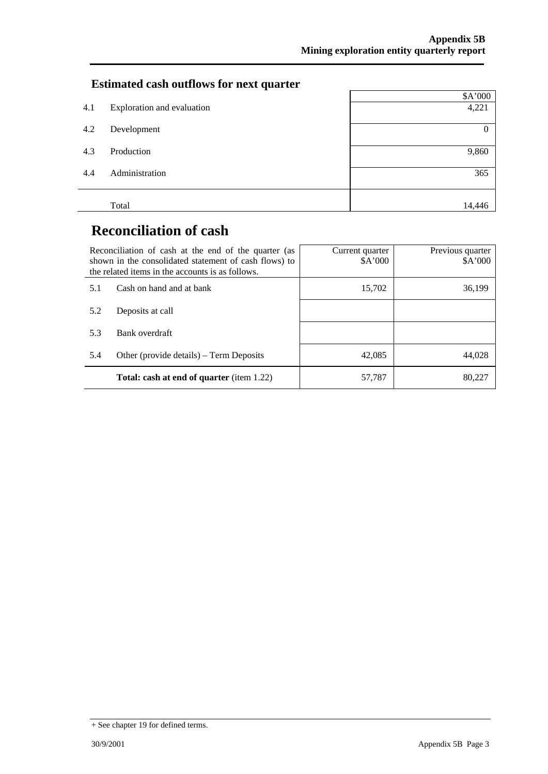# **Estimated cash outflows for next quarter**

|     |                            | \$A'000      |
|-----|----------------------------|--------------|
| 4.1 | Exploration and evaluation | 4,221        |
| 4.2 | Development                | $\mathbf{0}$ |
| 4.3 | Production                 | 9,860        |
| 4.4 | Administration             | 365          |
|     | Total                      | 14,446       |

# **Reconciliation of cash**

|     | Reconciliation of cash at the end of the quarter (as<br>shown in the consolidated statement of cash flows) to<br>the related items in the accounts is as follows. | Current quarter<br>A'000 | Previous quarter<br>\$A'000 |
|-----|-------------------------------------------------------------------------------------------------------------------------------------------------------------------|--------------------------|-----------------------------|
| 5.1 | Cash on hand and at bank                                                                                                                                          | 15,702                   | 36,199                      |
| 5.2 | Deposits at call                                                                                                                                                  |                          |                             |
| 5.3 | Bank overdraft                                                                                                                                                    |                          |                             |
| 5.4 | Other (provide details) – Term Deposits                                                                                                                           | 42,085                   | 44.028                      |
|     | <b>Total: cash at end of quarter</b> (item 1.22)                                                                                                                  | 57,787                   | 80,227                      |

<sup>+</sup> See chapter 19 for defined terms.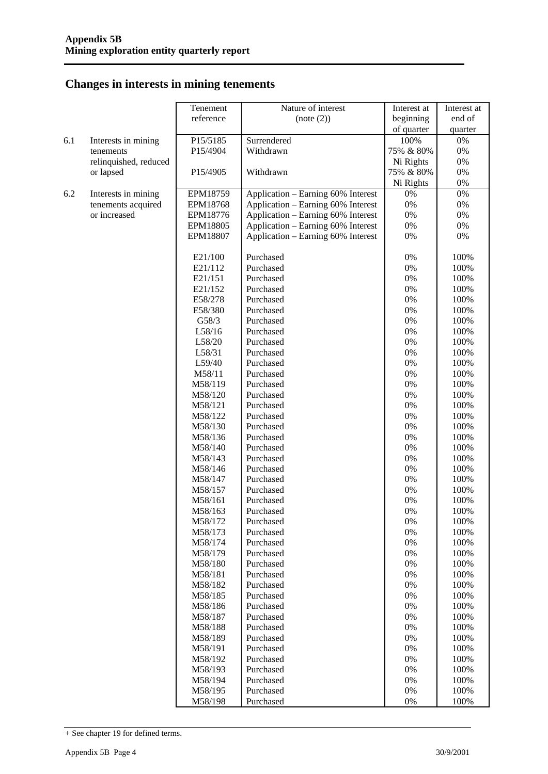## **Changes in interests in mining tenements**

|     |                       | Tenement           | Nature of interest                 | Interest at | Interest at  |
|-----|-----------------------|--------------------|------------------------------------|-------------|--------------|
|     |                       | reference          | (note (2))                         | beginning   | end of       |
|     |                       |                    |                                    | of quarter  | quarter      |
| 6.1 | Interests in mining   | P15/5185           | Surrendered                        | 100%        | $0\%$        |
|     | tenements             | P15/4904           | Withdrawn                          | 75% & 80%   | 0%           |
|     | relinquished, reduced |                    |                                    | Ni Rights   | 0%           |
|     | or lapsed             | P15/4905           | Withdrawn                          | 75% & 80%   | 0%           |
|     |                       |                    |                                    | Ni Rights   | 0%           |
| 6.2 | Interests in mining   | EPM18759           | Application - Earning 60% Interest | 0%          | 0%           |
|     | tenements acquired    | EPM18768           | Application - Earning 60% Interest | 0%          | 0%           |
|     | or increased          | EPM18776           | Application - Earning 60% Interest | 0%          | 0%           |
|     |                       | EPM18805           | Application - Earning 60% Interest | 0%          | 0%           |
|     |                       | EPM18807           | Application - Earning 60% Interest | 0%          | 0%           |
|     |                       |                    |                                    |             |              |
|     |                       | E21/100            | Purchased                          | 0%          | 100%         |
|     |                       | E21/112            | Purchased                          | 0%          | 100%         |
|     |                       | E21/151            | Purchased                          | 0%          | 100%         |
|     |                       | E21/152            | Purchased                          | 0%          | 100%         |
|     |                       | E58/278            | Purchased                          | 0%          | 100%         |
|     |                       | E58/380            | Purchased                          | 0%          | 100%         |
|     |                       | G58/3              | Purchased                          | 0%          | 100%         |
|     |                       | L58/16             | Purchased                          | 0%          | 100%         |
|     |                       | L58/20             | Purchased                          | 0%          | 100%         |
|     |                       | L58/31             | Purchased                          | 0%          | 100%         |
|     |                       | L59/40             | Purchased                          | 0%          | 100%         |
|     |                       | M58/11             | Purchased                          | 0%          | 100%         |
|     |                       | M58/119            | Purchased                          | 0%          | 100%         |
|     |                       | M58/120            | Purchased                          | 0%          | 100%         |
|     |                       | M58/121            | Purchased                          | 0%          | 100%         |
|     |                       | M58/122            | Purchased                          | 0%          | 100%         |
|     |                       | M58/130            | Purchased                          | 0%          | 100%         |
|     |                       | M58/136            | Purchased                          | 0%          | 100%         |
|     |                       | M58/140            | Purchased                          | 0%          | 100%         |
|     |                       | M58/143            | Purchased                          | 0%          | 100%         |
|     |                       | M58/146            | Purchased                          | 0%          | 100%         |
|     |                       | M58/147            | Purchased                          | 0%          | 100%         |
|     |                       | M58/157            | Purchased                          | 0%          | 100%         |
|     |                       | M58/161            | Purchased                          | 0%          | 100%         |
|     |                       | M58/163            | Purchased                          | 0%          | 100%         |
|     |                       | M58/172            | Purchased<br>Purchased             | 0%          | 100%         |
|     |                       | M58/173            |                                    | 0%          | 100%<br>100% |
|     |                       | M58/174<br>M58/179 | Purchased<br>Purchased             | 0%<br>0%    | 100%         |
|     |                       | M58/180            | Purchased                          | 0%          | 100%         |
|     |                       | M58/181            | Purchased                          | 0%          | 100%         |
|     |                       | M58/182            | Purchased                          | 0%          | 100%         |
|     |                       | M58/185            | Purchased                          | 0%          | 100%         |
|     |                       | M58/186            | Purchased                          | 0%          | 100%         |
|     |                       | M58/187            | Purchased                          | 0%          | 100%         |
|     |                       | M58/188            | Purchased                          | 0%          | 100%         |
|     |                       | M58/189            | Purchased                          | 0%          | 100%         |
|     |                       | M58/191            | Purchased                          | 0%          | 100%         |
|     |                       | M58/192            | Purchased                          | 0%          | 100%         |
|     |                       | M58/193            | Purchased                          | 0%          | 100%         |
|     |                       | M58/194            | Purchased                          | 0%          | 100%         |
|     |                       | M58/195            | Purchased                          | 0%          | 100%         |
|     |                       | M58/198            | Purchased                          | 0%          | 100%         |

<sup>+</sup> See chapter 19 for defined terms.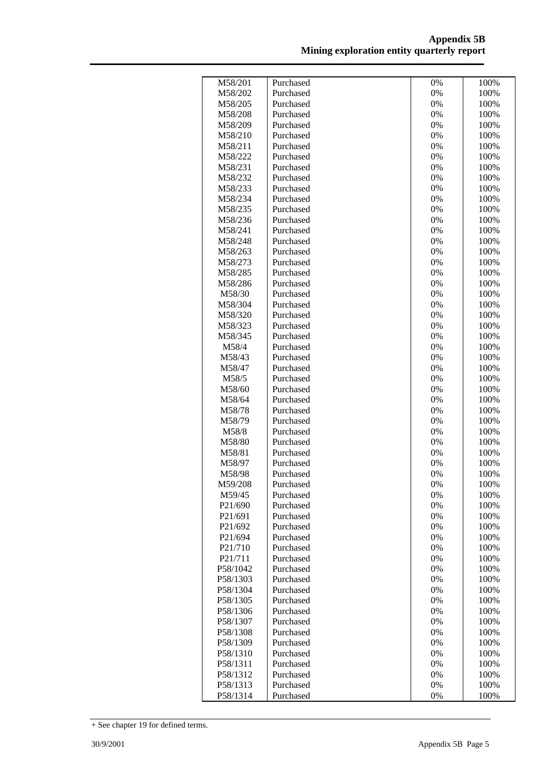| M58/201                          | Purchased              | 0%       | 100%         |
|----------------------------------|------------------------|----------|--------------|
| M58/202                          | Purchased              | $0\%$    | 100%         |
| M58/205                          | Purchased              | $0\%$    | 100%         |
| M58/208                          | Purchased              | $0\%$    | 100%         |
| M58/209                          | Purchased              | $0\%$    | 100%         |
| M58/210                          | Purchased              | $0\%$    | 100%         |
| M58/211                          | Purchased              | $0\%$    | 100%         |
| M58/222                          | Purchased              | $0\%$    | 100%         |
| M58/231                          | Purchased              | 0%       | 100%         |
| M58/232                          | Purchased              | 0%       | 100%         |
| M58/233                          | Purchased              | $0\%$    | 100%         |
| M58/234                          | Purchased              | $0\%$    | 100%         |
| M58/235                          | Purchased              | $0\%$    | 100%         |
| M58/236                          | Purchased              | $0\%$    | 100%         |
| M58/241                          | Purchased              | $0\%$    | 100%         |
| M58/248                          | Purchased              | $0\%$    | 100%         |
| M58/263                          | Purchased              | $0\%$    | 100%         |
| M58/273                          | Purchased              | $0\%$    | 100%         |
| M58/285                          | Purchased              | $0\%$    | 100%         |
| M58/286                          | Purchased              | $0\%$    | 100%         |
| M58/30                           | Purchased              | $0\%$    | 100%         |
| M58/304                          | Purchased              | $0\%$    | 100%         |
| M58/320                          | Purchased              | 0%       | 100%         |
| M58/323                          | Purchased              | $0\%$    | 100%         |
| M58/345                          | Purchased              | $0\%$    | 100%         |
| M58/4                            | Purchased              | $0\%$    | 100%         |
| M58/43                           | Purchased              | $0\%$    | 100%         |
| M58/47                           | Purchased              | 0%       | 100%         |
| M58/5                            | Purchased              | $0\%$    | 100%         |
| M58/60                           | Purchased              | $0\%$    | 100%         |
| M58/64                           | Purchased              | 0%       | 100%         |
| M58/78                           | Purchased              | $0\%$    | 100%         |
| M58/79                           | Purchased              | 0%       | 100%         |
| M58/8                            | Purchased              | 0%       | 100%         |
| M58/80                           | Purchased              | 0%       | 100%         |
| M58/81                           | Purchased              | $0\%$    | 100%         |
| M58/97                           | Purchased              | $0\%$    | 100%         |
| M58/98<br>M59/208                | Purchased              | $0\%$    | 100%         |
|                                  | Purchased              | $0\%$    | 100%         |
| M59/45<br>P21/690                | Purchased<br>Purchased | 0%<br>0% | 100%<br>100% |
| P <sub>21</sub> /691             | Purchased              | 0%       | 100%         |
| P <sub>21</sub> /69 <sub>2</sub> | Purchased              | 0%       | 100%         |
| P <sub>21</sub> /694             | Purchased              | 0%       | 100%         |
| P21/710                          | Purchased              | 0%       | 100%         |
| P21/711                          | Purchased              | 0%       | 100%         |
| P58/1042                         | Purchased              | $0\%$    | 100%         |
| P58/1303                         | Purchased              | $0\%$    | 100%         |
| P58/1304                         | Purchased              | $0\%$    | 100%         |
| P58/1305                         | Purchased              | $0\%$    | 100%         |
| P58/1306                         | Purchased              | $0\%$    | 100%         |
| P58/1307                         | Purchased              | $0\%$    | 100%         |
| P58/1308                         | Purchased              | $0\%$    | 100%         |
| P58/1309                         | Purchased              | $0\%$    | 100%         |
| P58/1310                         | Purchased              | 0%       | 100%         |
| P58/1311                         | Purchased              | 0%       | 100%         |
| P58/1312                         | Purchased              | $0\%$    | 100%         |
| P58/1313                         | Purchased              | $0\%$    | 100%         |
| P58/1314                         | Purchased              | 0%       | 100%         |
|                                  |                        |          |              |

<sup>+</sup> See chapter 19 for defined terms.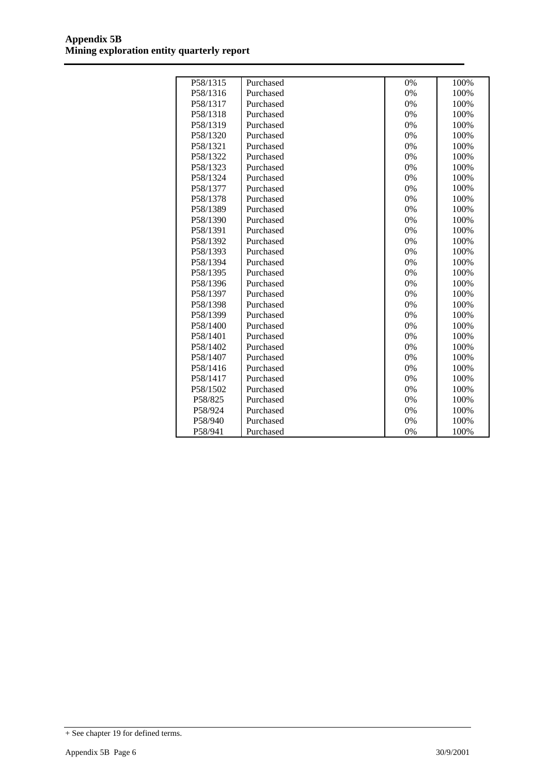| P58/1315 | Purchased | 0% | 100% |
|----------|-----------|----|------|
| P58/1316 | Purchased | 0% | 100% |
| P58/1317 | Purchased | 0% | 100% |
| P58/1318 | Purchased | 0% | 100% |
| P58/1319 | Purchased | 0% | 100% |
| P58/1320 | Purchased | 0% | 100% |
| P58/1321 | Purchased | 0% | 100% |
| P58/1322 | Purchased | 0% | 100% |
| P58/1323 | Purchased | 0% | 100% |
| P58/1324 | Purchased | 0% | 100% |
| P58/1377 | Purchased | 0% | 100% |
| P58/1378 | Purchased | 0% | 100% |
| P58/1389 | Purchased | 0% | 100% |
| P58/1390 | Purchased | 0% | 100% |
| P58/1391 | Purchased | 0% | 100% |
| P58/1392 | Purchased | 0% | 100% |
| P58/1393 | Purchased | 0% | 100% |
| P58/1394 | Purchased | 0% | 100% |
| P58/1395 | Purchased | 0% | 100% |
| P58/1396 | Purchased | 0% | 100% |
| P58/1397 | Purchased | 0% | 100% |
| P58/1398 | Purchased | 0% | 100% |
| P58/1399 | Purchased | 0% | 100% |
| P58/1400 | Purchased | 0% | 100% |
| P58/1401 | Purchased | 0% | 100% |
| P58/1402 | Purchased | 0% | 100% |
| P58/1407 | Purchased | 0% | 100% |
| P58/1416 | Purchased | 0% | 100% |
| P58/1417 | Purchased | 0% | 100% |
| P58/1502 | Purchased | 0% | 100% |
| P58/825  | Purchased | 0% | 100% |
| P58/924  | Purchased | 0% | 100% |
| P58/940  | Purchased | 0% | 100% |
| P58/941  | Purchased | 0% | 100% |

<sup>+</sup> See chapter 19 for defined terms.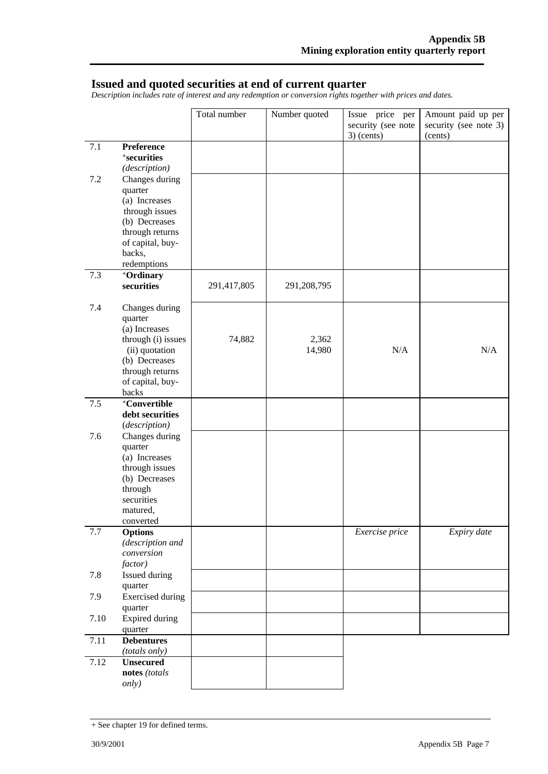#### **Issued and quoted securities at end of current quarter**

*Description includes rate of interest and any redemption or conversion rights together with prices and dates.* 

|      |                                      | Total number | Number quoted   | Issue price per    | Amount paid up per    |
|------|--------------------------------------|--------------|-----------------|--------------------|-----------------------|
|      |                                      |              |                 | security (see note | security (see note 3) |
|      |                                      |              |                 | $3)$ (cents)       | (cents)               |
| 7.1  | Preference                           |              |                 |                    |                       |
|      | <sup>+</sup> securities              |              |                 |                    |                       |
| 7.2  | (description)<br>Changes during      |              |                 |                    |                       |
|      | quarter                              |              |                 |                    |                       |
|      | (a) Increases                        |              |                 |                    |                       |
|      | through issues                       |              |                 |                    |                       |
|      | (b) Decreases                        |              |                 |                    |                       |
|      | through returns                      |              |                 |                    |                       |
|      | of capital, buy-                     |              |                 |                    |                       |
|      | backs,                               |              |                 |                    |                       |
|      | redemptions                          |              |                 |                    |                       |
| 7.3  | +Ordinary                            |              |                 |                    |                       |
|      | securities                           | 291,417,805  | 291,208,795     |                    |                       |
|      |                                      |              |                 |                    |                       |
| 7.4  | Changes during                       |              |                 |                    |                       |
|      | quarter                              |              |                 |                    |                       |
|      | (a) Increases                        |              |                 |                    |                       |
|      | through (i) issues<br>(ii) quotation | 74,882       | 2,362<br>14,980 | N/A                | N/A                   |
|      | (b) Decreases                        |              |                 |                    |                       |
|      | through returns                      |              |                 |                    |                       |
|      | of capital, buy-                     |              |                 |                    |                       |
|      | backs                                |              |                 |                    |                       |
| 7.5  | +Convertible                         |              |                 |                    |                       |
|      | debt securities                      |              |                 |                    |                       |
|      | (description)                        |              |                 |                    |                       |
| 7.6  | Changes during                       |              |                 |                    |                       |
|      | quarter                              |              |                 |                    |                       |
|      | (a) Increases                        |              |                 |                    |                       |
|      | through issues                       |              |                 |                    |                       |
|      | (b) Decreases<br>through             |              |                 |                    |                       |
|      | securities                           |              |                 |                    |                       |
|      | matured,                             |              |                 |                    |                       |
|      | converted                            |              |                 |                    |                       |
| 7.7  | <b>Options</b>                       |              |                 | Exercise price     | Expiry date           |
|      | (description and                     |              |                 |                    |                       |
|      | conversion                           |              |                 |                    |                       |
|      | factor)                              |              |                 |                    |                       |
| 7.8  | Issued during                        |              |                 |                    |                       |
|      | quarter                              |              |                 |                    |                       |
| 7.9  | <b>Exercised</b> during              |              |                 |                    |                       |
|      | quarter                              |              |                 |                    |                       |
| 7.10 | <b>Expired during</b>                |              |                 |                    |                       |
|      | quarter                              |              |                 |                    |                       |
| 7.11 | <b>Debentures</b>                    |              |                 |                    |                       |
|      | (totals only)                        |              |                 |                    |                       |
| 7.12 | <b>Unsecured</b><br>notes (totals    |              |                 |                    |                       |
|      | only)                                |              |                 |                    |                       |
|      |                                      |              |                 |                    |                       |

<sup>+</sup> See chapter 19 for defined terms.